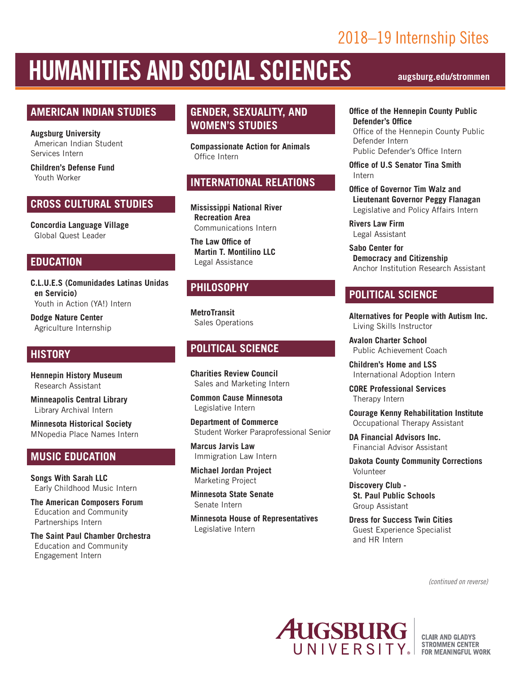## 2018–19 Internship Sites

# HUMANITIES AND SOCIAL SCIENCES **augsburg.edu/strommen**

#### **AMERICAN INDIAN STUDIES**

**Augsburg University**  American Indian Student Services Intern

**Children's Defense Fund** Youth Worker

#### **CROSS CULTURAL STUDIES**

**Concordia Language Village** Global Quest Leader

#### **EDUCATION**

**C.L.U.E.S (Comunidades Latinas Unidas en Servicio)** Youth in Action (YA!) Intern

**Dodge Nature Center** Agriculture Internship

#### **HISTORY**

**Hennepin History Museum** Research Assistant

**Minneapolis Central Library** Library Archival Intern

**Minnesota Historical Society** MNopedia Place Names Intern

#### **MUSIC EDUCATION**

**Songs With Sarah LLC** Early Childhood Music Intern

**The American Composers Forum** Education and Community Partnerships Intern

**The Saint Paul Chamber Orchestra** Education and Community Engagement Intern

#### **GENDER, SEXUALITY, AND WOMEN'S STUDIES**

**Compassionate Action for Animals** Office Intern

#### **INTERNATIONAL RELATIONS**

**Mississippi National River Recreation Area** Communications Intern

**The Law Office of Martin T. Montilino LLC** Legal Assistance

#### **PHILOSOPHY**

**MetroTransit** Sales Operations

#### **POLITICAL SCIENCE**

**Charities Review Council** Sales and Marketing Intern

**Common Cause Minnesota** Legislative Intern

**Department of Commerce** Student Worker Paraprofessional Senior

**Marcus Jarvis Law** Immigration Law Intern

**Michael Jordan Project** Marketing Project

**Minnesota State Senate** Senate Intern

**Minnesota House of Representatives** Legislative Intern

**Office of the Hennepin County Public Defender's Office** Office of the Hennepin County Public Defender Intern Public Defender's Office Intern

**Office of U.S Senator Tina Smith** Intern

**Office of Governor Tim Walz and Lieutenant Governor Peggy Flanagan** Legislative and Policy Affairs Intern

**Rivers Law Firm** Legal Assistant

**Sabo Center for Democracy and Citizenship** Anchor Institution Research Assistant

#### **POLITICAL SCIENCE**

**Alternatives for People with Autism Inc.** Living Skills Instructor

**Avalon Charter School** Public Achievement Coach

**Children's Home and LSS** International Adoption Intern

**CORE Professional Services** Therapy Intern

**Courage Kenny Rehabilitation Institute** Occupational Therapy Assistant

**DA Financial Advisors Inc.** Financial Advisor Assistant

**Dakota County Community Corrections** Volunteer

**Discovery Club - St. Paul Public Schools** Group Assistant

**Dress for Success Twin Cities** Guest Experience Specialist and HR Intern

*(continued on reverse)*



**CLAIR AND GLADYS STROMMEN CENTER** FOR MEANINGFUL WORK